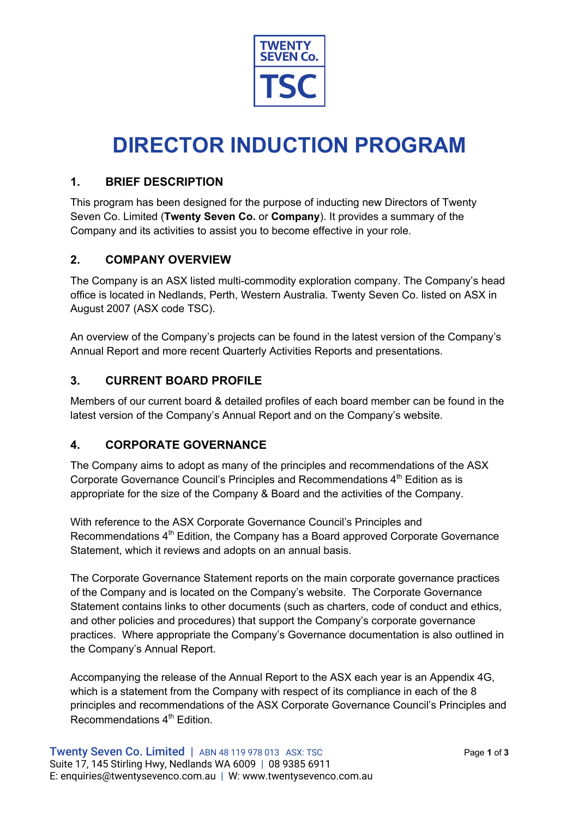

# **DIRECTOR INDUCTION PROGRAM**

### **1. BRIEF DESCRIPTION**

This program has been designed for the purpose of inducting new Directors of Twenty Seven Co. Limited (**Twenty Seven Co.** or **Company**). It provides a summary of the Company and its activities to assist you to become effective in your role.

#### **2. COMPANY OVERVIEW**

The Company is an ASX listed multi-commodity exploration company. The Company's head office is located in Nedlands, Perth, Western Australia. Twenty Seven Co. listed on ASX in August 2007 (ASX code TSC).

An overview of the Company's projects can be found in the latest version of the Company's Annual Report and more recent Quarterly Activities Reports and presentations.

## **3. CURRENT BOARD PROFILE**

Members of our current board & detailed profiles of each board member can be found in the latest version of the Company's Annual Report and on the Company's website.

## **4. CORPORATE GOVERNANCE**

The Company aims to adopt as many of the principles and recommendations of the ASX Corporate Governance Council's Principles and Recommendations  $4<sup>th</sup>$  Edition as is appropriate for the size of the Company & Board and the activities of the Company.

With reference to the ASX Corporate Governance Council's Principles and Recommendations 4<sup>th</sup> Edition, the Company has a Board approved Corporate Governance Statement, which it reviews and adopts on an annual basis.

The Corporate Governance Statement reports on the main corporate governance practices of the Company and is located on the Company's website. The Corporate Governance Statement contains links to other documents (such as charters, code of conduct and ethics, and other policies and procedures) that support the Company's corporate governance practices. Where appropriate the Company's Governance documentation is also outlined in the Company's Annual Report.

Accompanying the release of the Annual Report to the ASX each year is an Appendix 4G, which is a statement from the Company with respect of its compliance in each of the 8 principles and recommendations of the ASX Corporate Governance Council's Principles and Recommendations 4<sup>th</sup> Edition.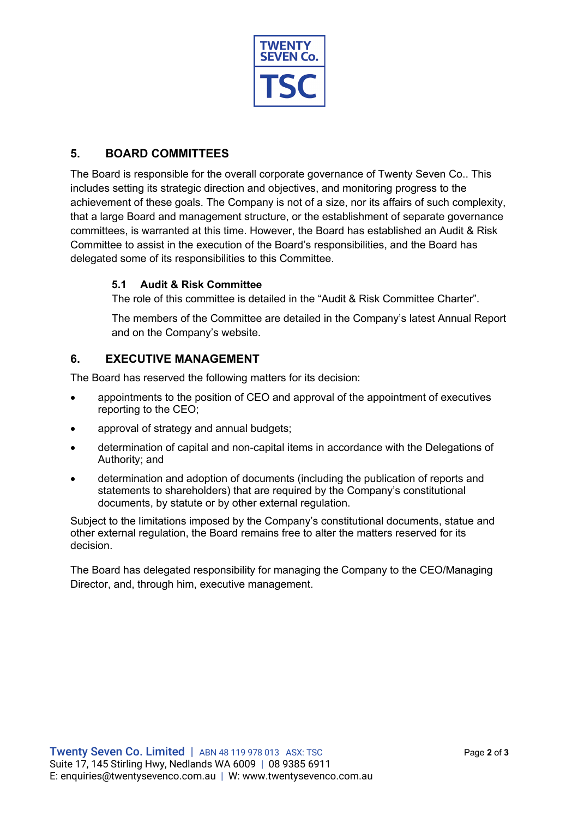

## **5. BOARD COMMITTEES**

The Board is responsible for the overall corporate governance of Twenty Seven Co.. This includes setting its strategic direction and objectives, and monitoring progress to the achievement of these goals. The Company is not of a size, nor its affairs of such complexity, that a large Board and management structure, or the establishment of separate governance committees, is warranted at this time. However, the Board has established an Audit & Risk Committee to assist in the execution of the Board's responsibilities, and the Board has delegated some of its responsibilities to this Committee.

#### **5.1 Audit & Risk Committee**

The role of this committee is detailed in the "Audit & Risk Committee Charter".

The members of the Committee are detailed in the Company's latest Annual Report and on the Company's website.

#### **6. EXECUTIVE MANAGEMENT**

The Board has reserved the following matters for its decision:

- appointments to the position of CEO and approval of the appointment of executives reporting to the CEO;
- approval of strategy and annual budgets;
- determination of capital and non-capital items in accordance with the Delegations of Authority; and
- determination and adoption of documents (including the publication of reports and statements to shareholders) that are required by the Company's constitutional documents, by statute or by other external regulation.

Subject to the limitations imposed by the Company's constitutional documents, statue and other external regulation, the Board remains free to alter the matters reserved for its decision.

The Board has delegated responsibility for managing the Company to the CEO/Managing Director, and, through him, executive management.